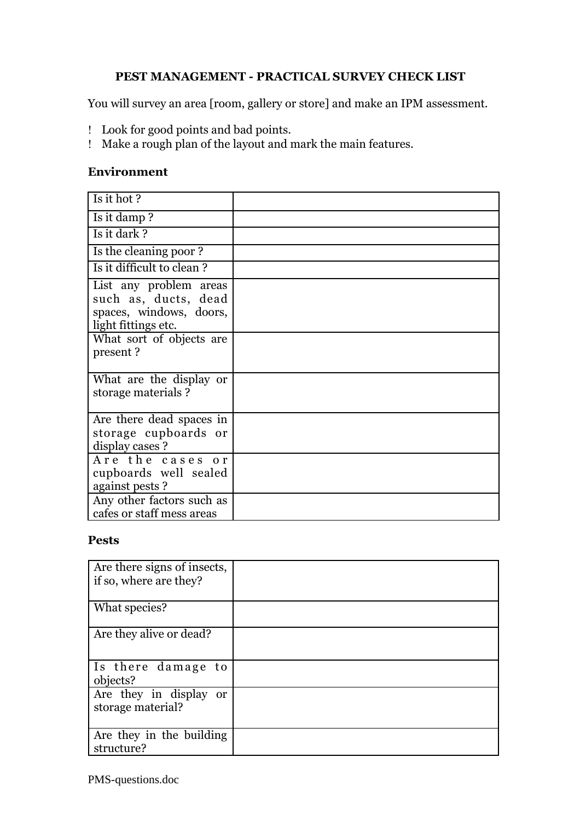## **PEST MANAGEMENT - PRACTICAL SURVEY CHECK LIST**

You will survey an area [room, gallery or store] and make an IPM assessment.

- Look for good points and bad points.
- Make a rough plan of the layout and mark the main features.

### **Environment**

| Is it hot?                                                                                                                               |  |
|------------------------------------------------------------------------------------------------------------------------------------------|--|
| Is it damp?                                                                                                                              |  |
| Is it dark?                                                                                                                              |  |
| Is the cleaning poor?                                                                                                                    |  |
| Is it difficult to clean?                                                                                                                |  |
| List any problem areas<br>such as, ducts, dead<br>spaces, windows, doors,<br>light fittings etc.<br>What sort of objects are<br>present? |  |
| What are the display or<br>storage materials?                                                                                            |  |
| Are there dead spaces in<br>storage cupboards or<br>display cases ?                                                                      |  |
| Are the cases or<br>cupboards well sealed<br>against pests ?                                                                             |  |
| Any other factors such as<br>cafes or staff mess areas                                                                                   |  |

#### **Pests**

| Are there signs of insects,<br>if so, where are they? |  |
|-------------------------------------------------------|--|
| What species?                                         |  |
| Are they alive or dead?                               |  |
| Is there damage to<br>objects?                        |  |
| Are they in display or<br>storage material?           |  |
| Are they in the building<br>structure?                |  |